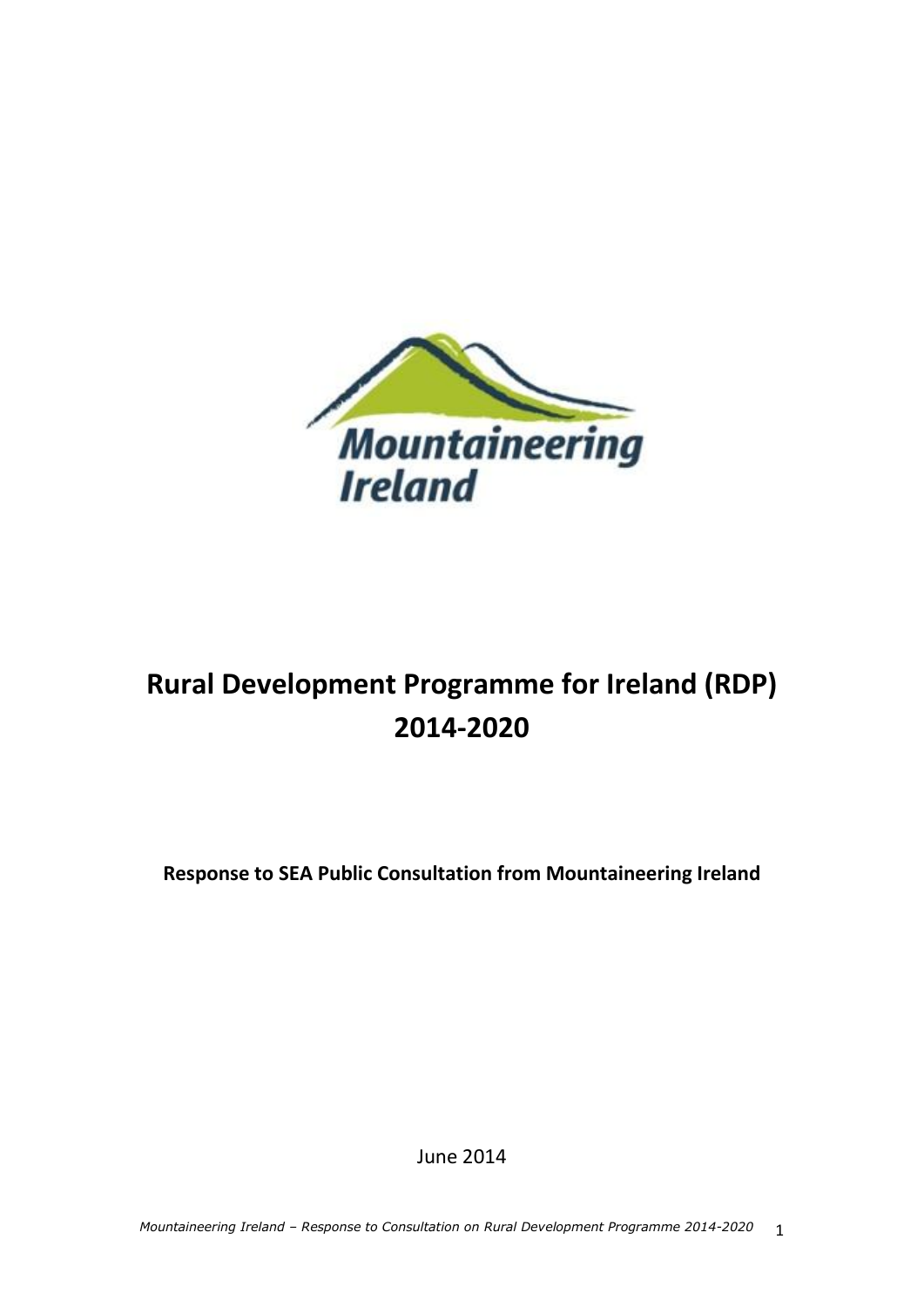

# **Rural Development Programme for Ireland (RDP) 2014-2020**

**Response to SEA Public Consultation from Mountaineering Ireland**

June 2014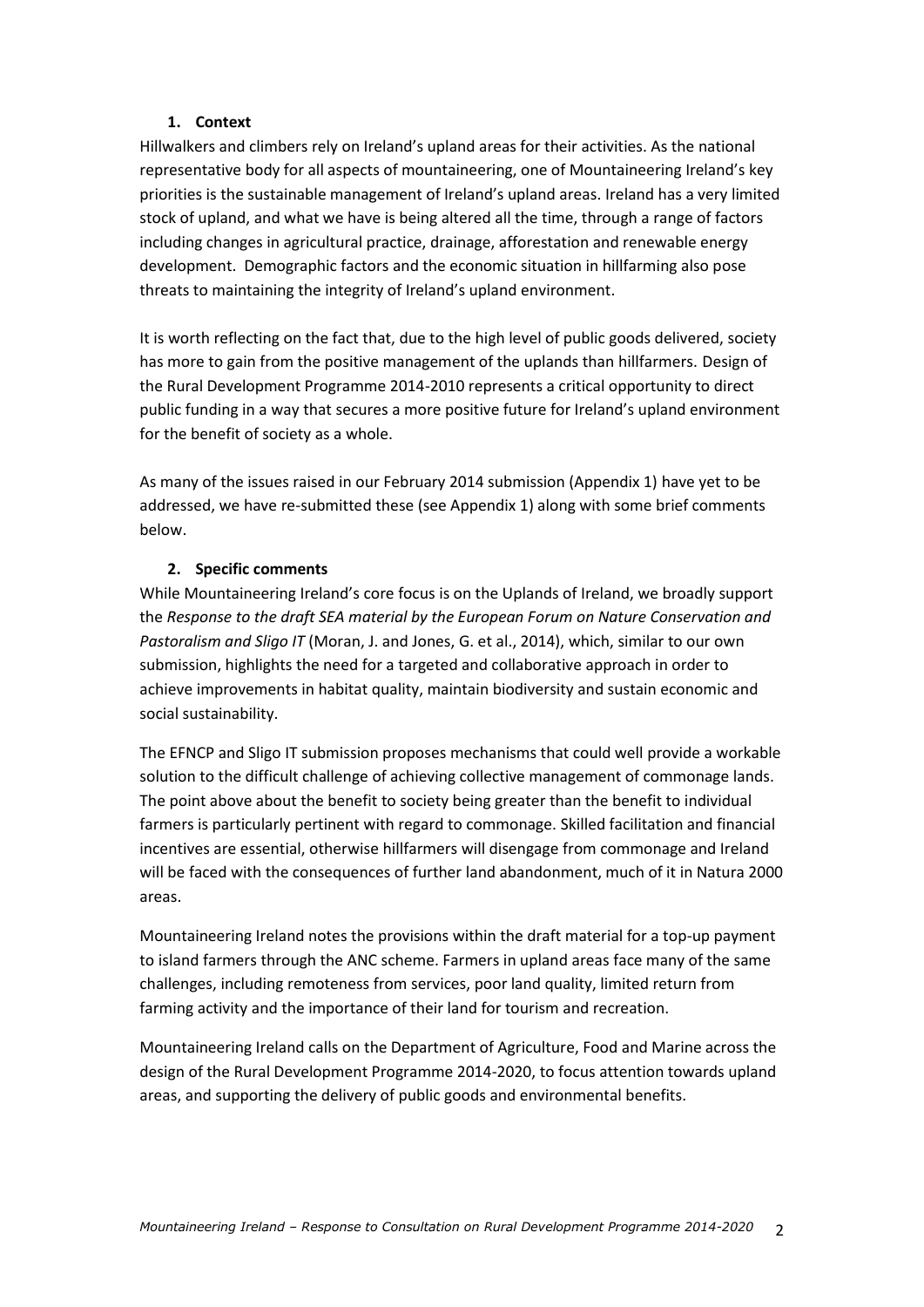#### **1. Context**

Hillwalkers and climbers rely on Ireland's upland areas for their activities. As the national representative body for all aspects of mountaineering, one of Mountaineering Ireland's key priorities is the sustainable management of Ireland's upland areas. Ireland has a very limited stock of upland, and what we have is being altered all the time, through a range of factors including changes in agricultural practice, drainage, afforestation and renewable energy development. Demographic factors and the economic situation in hillfarming also pose threats to maintaining the integrity of Ireland's upland environment.

It is worth reflecting on the fact that, due to the high level of public goods delivered, society has more to gain from the positive management of the uplands than hillfarmers. Design of the Rural Development Programme 2014-2010 represents a critical opportunity to direct public funding in a way that secures a more positive future for Ireland's upland environment for the benefit of society as a whole.

As many of the issues raised in our February 2014 submission (Appendix 1) have yet to be addressed, we have re-submitted these (see Appendix 1) along with some brief comments below.

#### **2. Specific comments**

While Mountaineering Ireland's core focus is on the Uplands of Ireland, we broadly support the *Response to the draft SEA material by the European Forum on Nature Conservation and Pastoralism and Sligo IT* (Moran, J. and Jones, G. et al., 2014), which, similar to our own submission, highlights the need for a targeted and collaborative approach in order to achieve improvements in habitat quality, maintain biodiversity and sustain economic and social sustainability.

The EFNCP and Sligo IT submission proposes mechanisms that could well provide a workable solution to the difficult challenge of achieving collective management of commonage lands. The point above about the benefit to society being greater than the benefit to individual farmers is particularly pertinent with regard to commonage. Skilled facilitation and financial incentives are essential, otherwise hillfarmers will disengage from commonage and Ireland will be faced with the consequences of further land abandonment, much of it in Natura 2000 areas.

Mountaineering Ireland notes the provisions within the draft material for a top-up payment to island farmers through the ANC scheme. Farmers in upland areas face many of the same challenges, including remoteness from services, poor land quality, limited return from farming activity and the importance of their land for tourism and recreation.

Mountaineering Ireland calls on the Department of Agriculture, Food and Marine across the design of the Rural Development Programme 2014-2020, to focus attention towards upland areas, and supporting the delivery of public goods and environmental benefits.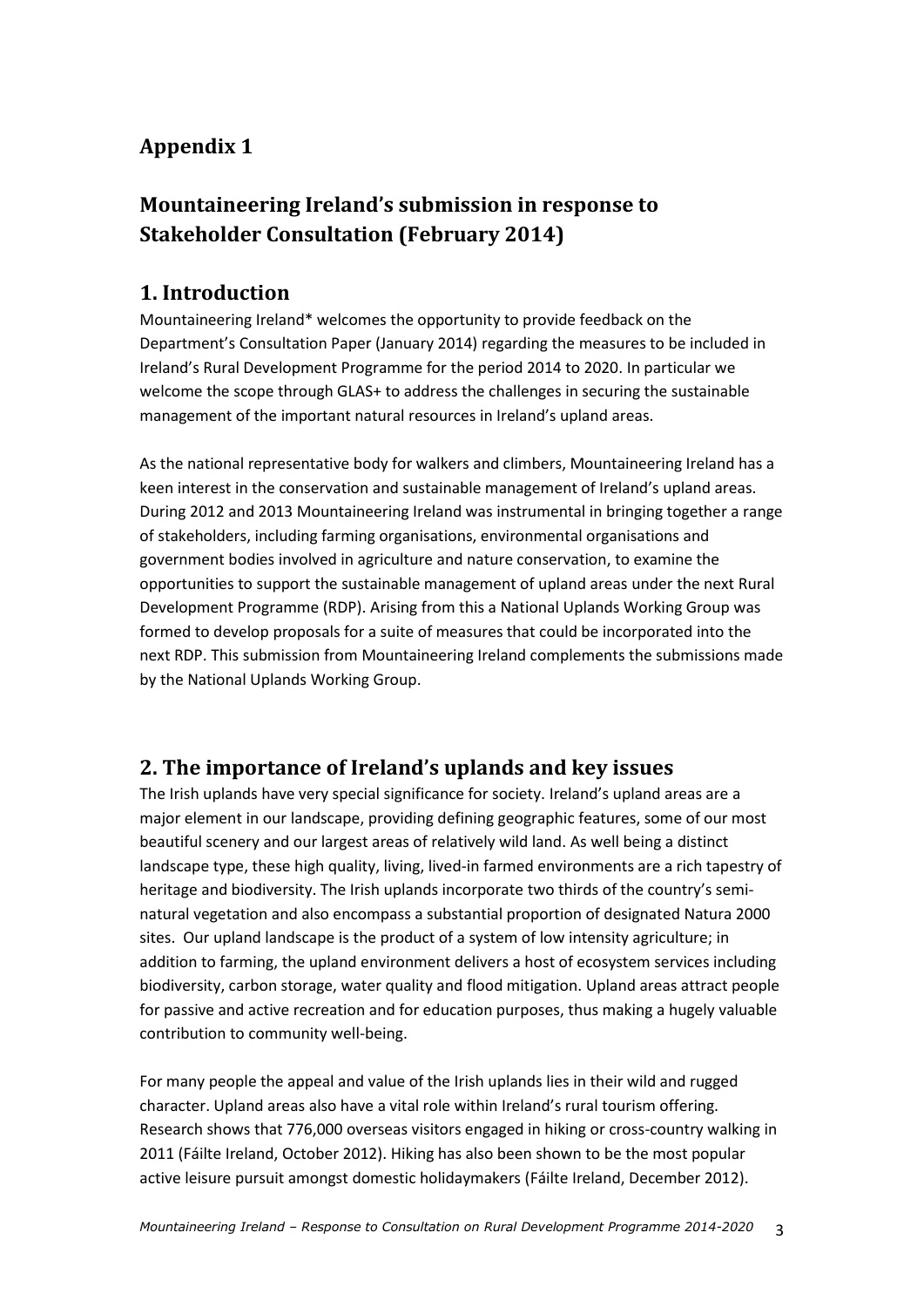# **Appendix 1**

# **Mountaineering Ireland's submission in response to Stakeholder Consultation (February 2014)**

## **1. Introduction**

Mountaineering Ireland\* welcomes the opportunity to provide feedback on the Department's Consultation Paper (January 2014) regarding the measures to be included in Ireland's Rural Development Programme for the period 2014 to 2020. In particular we welcome the scope through GLAS+ to address the challenges in securing the sustainable management of the important natural resources in Ireland's upland areas.

As the national representative body for walkers and climbers, Mountaineering Ireland has a keen interest in the conservation and sustainable management of Ireland's upland areas. During 2012 and 2013 Mountaineering Ireland was instrumental in bringing together a range of stakeholders, including farming organisations, environmental organisations and government bodies involved in agriculture and nature conservation, to examine the opportunities to support the sustainable management of upland areas under the next Rural Development Programme (RDP). Arising from this a National Uplands Working Group was formed to develop proposals for a suite of measures that could be incorporated into the next RDP. This submission from Mountaineering Ireland complements the submissions made by the National Uplands Working Group.

# **2. The importance of Ireland's uplands and key issues**

The Irish uplands have very special significance for society. Ireland's upland areas are a major element in our landscape, providing defining geographic features, some of our most beautiful scenery and our largest areas of relatively wild land. As well being a distinct landscape type, these high quality, living, lived-in farmed environments are a rich tapestry of heritage and biodiversity. The Irish uplands incorporate two thirds of the country's seminatural vegetation and also encompass a substantial proportion of designated Natura 2000 sites. Our upland landscape is the product of a system of low intensity agriculture; in addition to farming, the upland environment delivers a host of ecosystem services including biodiversity, carbon storage, water quality and flood mitigation. Upland areas attract people for passive and active recreation and for education purposes, thus making a hugely valuable contribution to community well-being.

For many people the appeal and value of the Irish uplands lies in their wild and rugged character. Upland areas also have a vital role within Ireland's rural tourism offering. Research shows that 776,000 overseas visitors engaged in hiking or cross-country walking in 2011 (Fáilte Ireland, October 2012). Hiking has also been shown to be the most popular active leisure pursuit amongst domestic holidaymakers (Fáilte Ireland, December 2012).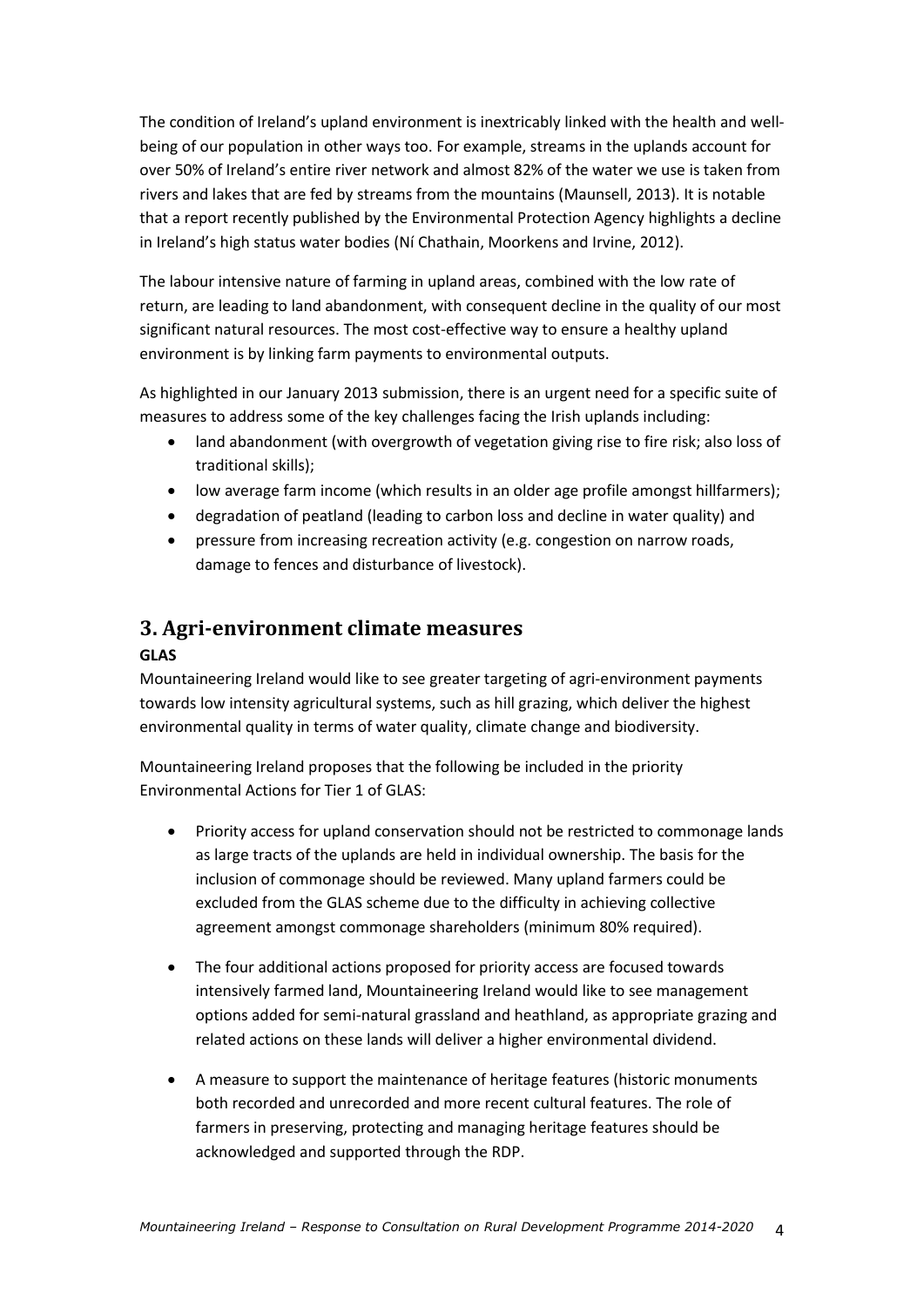The condition of Ireland's upland environment is inextricably linked with the health and wellbeing of our population in other ways too. For example, streams in the uplands account for over 50% of Ireland's entire river network and almost 82% of the water we use is taken from rivers and lakes that are fed by streams from the mountains (Maunsell, 2013). It is notable that a report recently published by the Environmental Protection Agency highlights a decline in Ireland's high status water bodies (Ní Chathain, Moorkens and Irvine, 2012).

The labour intensive nature of farming in upland areas, combined with the low rate of return, are leading to land abandonment, with consequent decline in the quality of our most significant natural resources. The most cost-effective way to ensure a healthy upland environment is by linking farm payments to environmental outputs.

As highlighted in our January 2013 submission, there is an urgent need for a specific suite of measures to address some of the key challenges facing the Irish uplands including:

- land abandonment (with overgrowth of vegetation giving rise to fire risk; also loss of traditional skills);
- low average farm income (which results in an older age profile amongst hillfarmers);
- degradation of peatland (leading to carbon loss and decline in water quality) and
- pressure from increasing recreation activity (e.g. congestion on narrow roads, damage to fences and disturbance of livestock).

# **3. Agri-environment climate measures**

## **GLAS**

Mountaineering Ireland would like to see greater targeting of agri-environment payments towards low intensity agricultural systems, such as hill grazing, which deliver the highest environmental quality in terms of water quality, climate change and biodiversity.

Mountaineering Ireland proposes that the following be included in the priority Environmental Actions for Tier 1 of GLAS:

- Priority access for upland conservation should not be restricted to commonage lands as large tracts of the uplands are held in individual ownership. The basis for the inclusion of commonage should be reviewed. Many upland farmers could be excluded from the GLAS scheme due to the difficulty in achieving collective agreement amongst commonage shareholders (minimum 80% required).
- The four additional actions proposed for priority access are focused towards intensively farmed land, Mountaineering Ireland would like to see management options added for semi-natural grassland and heathland, as appropriate grazing and related actions on these lands will deliver a higher environmental dividend.
- A measure to support the maintenance of heritage features (historic monuments both recorded and unrecorded and more recent cultural features. The role of farmers in preserving, protecting and managing heritage features should be acknowledged and supported through the RDP.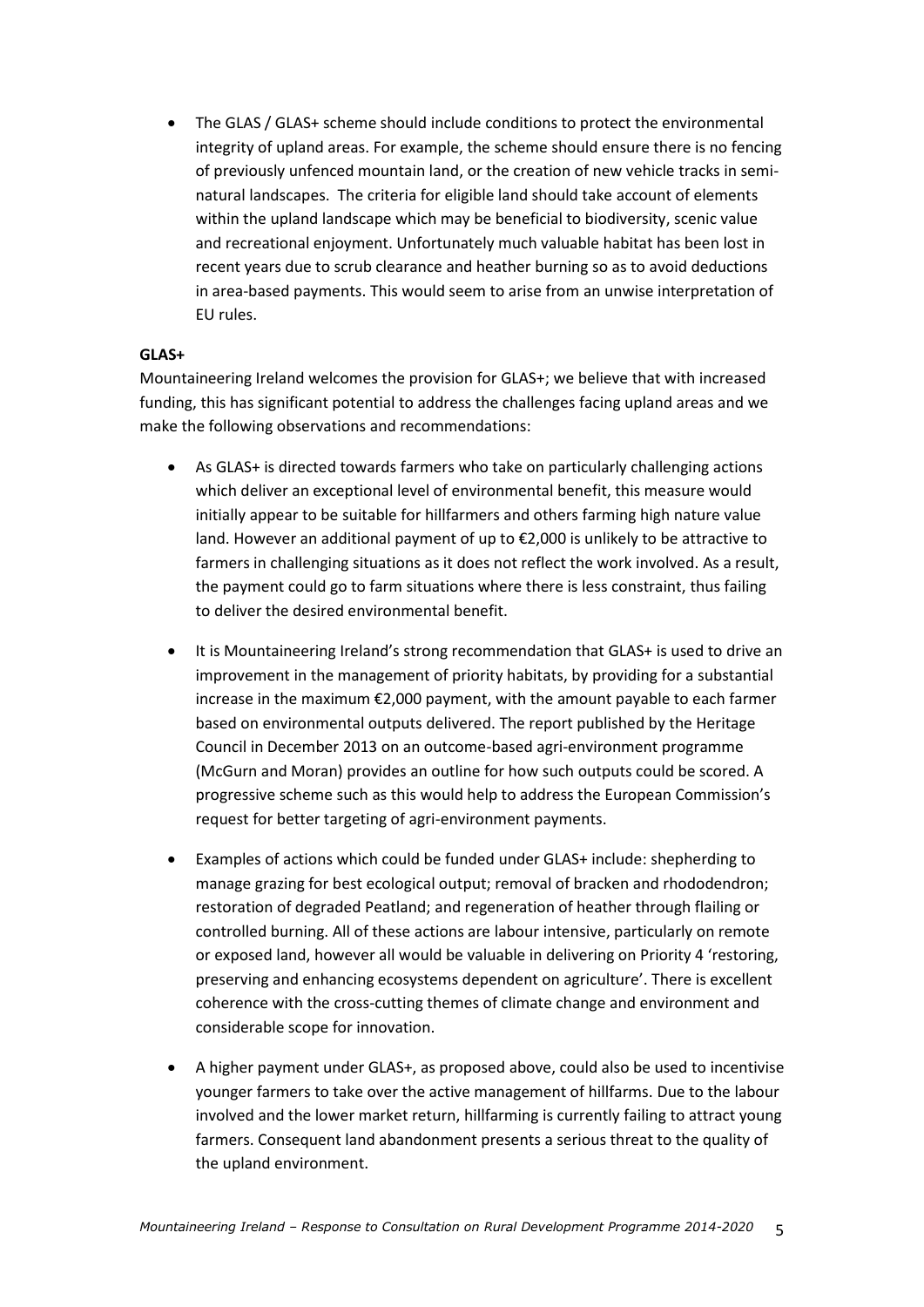The GLAS / GLAS+ scheme should include conditions to protect the environmental integrity of upland areas. For example, the scheme should ensure there is no fencing of previously unfenced mountain land, or the creation of new vehicle tracks in seminatural landscapes. The criteria for eligible land should take account of elements within the upland landscape which may be beneficial to biodiversity, scenic value and recreational enjoyment. Unfortunately much valuable habitat has been lost in recent years due to scrub clearance and heather burning so as to avoid deductions in area-based payments. This would seem to arise from an unwise interpretation of EU rules.

#### **GLAS+**

Mountaineering Ireland welcomes the provision for GLAS+; we believe that with increased funding, this has significant potential to address the challenges facing upland areas and we make the following observations and recommendations:

- As GLAS+ is directed towards farmers who take on particularly challenging actions which deliver an exceptional level of environmental benefit, this measure would initially appear to be suitable for hillfarmers and others farming high nature value land. However an additional payment of up to  $\epsilon$ 2,000 is unlikely to be attractive to farmers in challenging situations as it does not reflect the work involved. As a result, the payment could go to farm situations where there is less constraint, thus failing to deliver the desired environmental benefit.
- It is Mountaineering Ireland's strong recommendation that GLAS+ is used to drive an improvement in the management of priority habitats, by providing for a substantial increase in the maximum €2,000 payment, with the amount payable to each farmer based on environmental outputs delivered. The report published by the Heritage Council in December 2013 on an outcome-based agri-environment programme (McGurn and Moran) provides an outline for how such outputs could be scored. A progressive scheme such as this would help to address the European Commission's request for better targeting of agri-environment payments.
- Examples of actions which could be funded under GLAS+ include: shepherding to manage grazing for best ecological output; removal of bracken and rhododendron; restoration of degraded Peatland; and regeneration of heather through flailing or controlled burning. All of these actions are labour intensive, particularly on remote or exposed land, however all would be valuable in delivering on Priority 4 'restoring, preserving and enhancing ecosystems dependent on agriculture'. There is excellent coherence with the cross-cutting themes of climate change and environment and considerable scope for innovation.
- A higher payment under GLAS+, as proposed above, could also be used to incentivise younger farmers to take over the active management of hillfarms. Due to the labour involved and the lower market return, hillfarming is currently failing to attract young farmers. Consequent land abandonment presents a serious threat to the quality of the upland environment.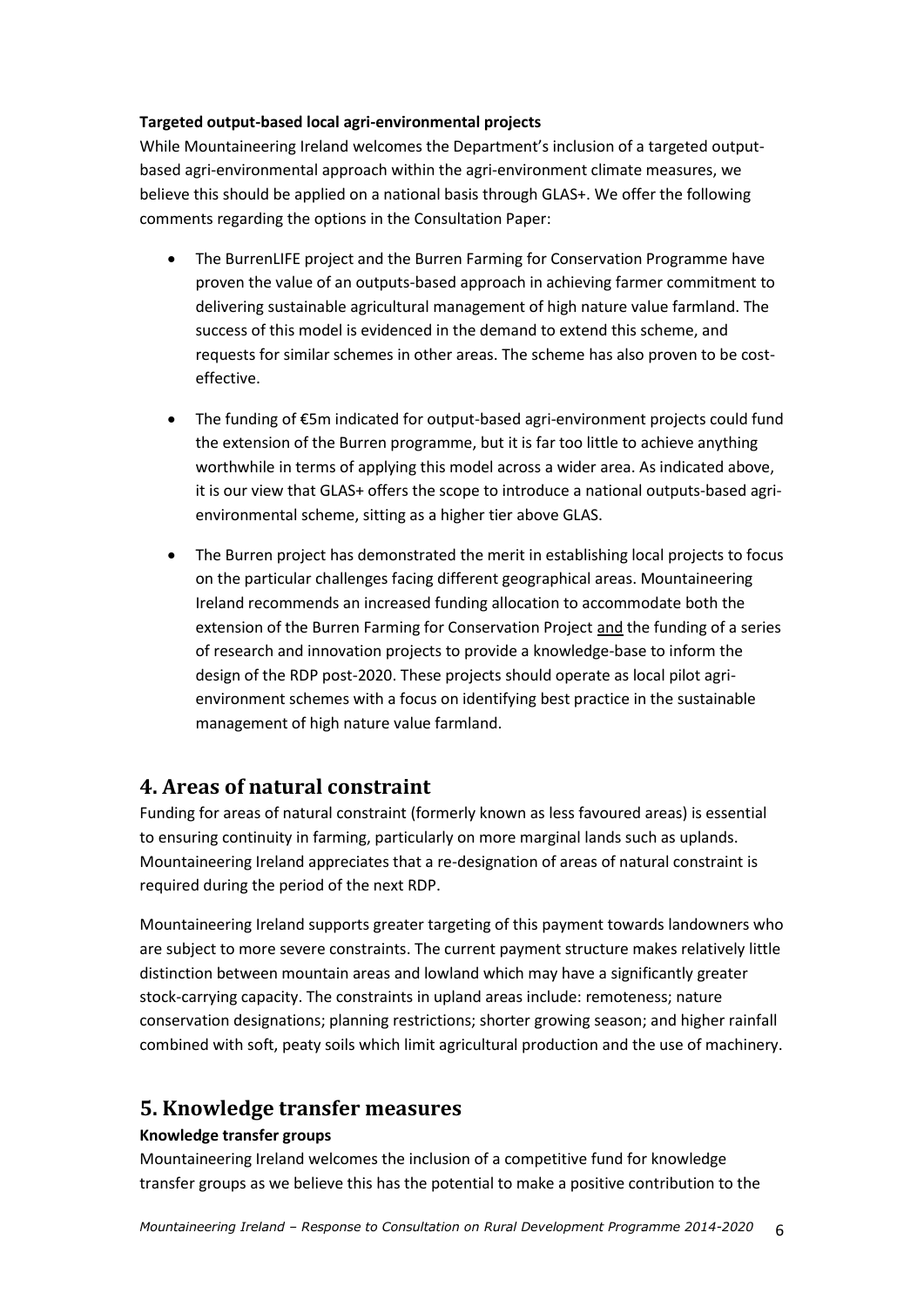#### **Targeted output-based local agri-environmental projects**

While Mountaineering Ireland welcomes the Department's inclusion of a targeted outputbased agri-environmental approach within the agri-environment climate measures, we believe this should be applied on a national basis through GLAS+. We offer the following comments regarding the options in the Consultation Paper:

- The BurrenLIFE project and the Burren Farming for Conservation Programme have proven the value of an outputs-based approach in achieving farmer commitment to delivering sustainable agricultural management of high nature value farmland. The success of this model is evidenced in the demand to extend this scheme, and requests for similar schemes in other areas. The scheme has also proven to be costeffective.
- The funding of €5m indicated for output-based agri-environment projects could fund the extension of the Burren programme, but it is far too little to achieve anything worthwhile in terms of applying this model across a wider area. As indicated above, it is our view that GLAS+ offers the scope to introduce a national outputs-based agrienvironmental scheme, sitting as a higher tier above GLAS.
- The Burren project has demonstrated the merit in establishing local projects to focus on the particular challenges facing different geographical areas. Mountaineering Ireland recommends an increased funding allocation to accommodate both the extension of the Burren Farming for Conservation Project and the funding of a series of research and innovation projects to provide a knowledge-base to inform the design of the RDP post-2020. These projects should operate as local pilot agrienvironment schemes with a focus on identifying best practice in the sustainable management of high nature value farmland.

# **4. Areas of natural constraint**

Funding for areas of natural constraint (formerly known as less favoured areas) is essential to ensuring continuity in farming, particularly on more marginal lands such as uplands. Mountaineering Ireland appreciates that a re-designation of areas of natural constraint is required during the period of the next RDP.

Mountaineering Ireland supports greater targeting of this payment towards landowners who are subject to more severe constraints. The current payment structure makes relatively little distinction between mountain areas and lowland which may have a significantly greater stock-carrying capacity. The constraints in upland areas include: remoteness; nature conservation designations; planning restrictions; shorter growing season; and higher rainfall combined with soft, peaty soils which limit agricultural production and the use of machinery.

## **5. Knowledge transfer measures**

### **Knowledge transfer groups**

Mountaineering Ireland welcomes the inclusion of a competitive fund for knowledge transfer groups as we believe this has the potential to make a positive contribution to the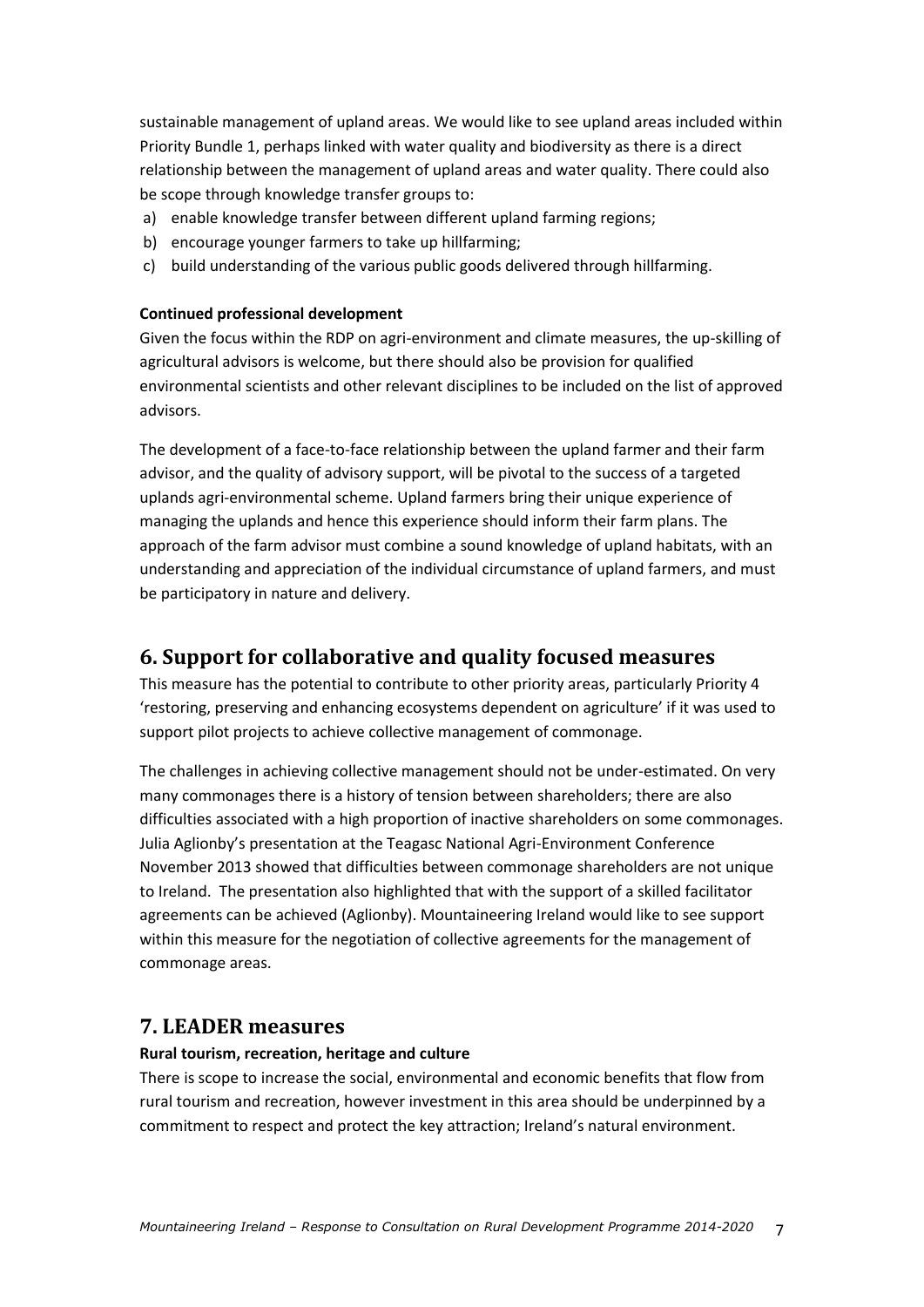sustainable management of upland areas. We would like to see upland areas included within Priority Bundle 1, perhaps linked with water quality and biodiversity as there is a direct relationship between the management of upland areas and water quality. There could also be scope through knowledge transfer groups to:

- a) enable knowledge transfer between different upland farming regions;
- b) encourage younger farmers to take up hillfarming;
- c) build understanding of the various public goods delivered through hillfarming.

#### **Continued professional development**

Given the focus within the RDP on agri-environment and climate measures, the up-skilling of agricultural advisors is welcome, but there should also be provision for qualified environmental scientists and other relevant disciplines to be included on the list of approved advisors.

The development of a face-to-face relationship between the upland farmer and their farm advisor, and the quality of advisory support, will be pivotal to the success of a targeted uplands agri-environmental scheme. Upland farmers bring their unique experience of managing the uplands and hence this experience should inform their farm plans. The approach of the farm advisor must combine a sound knowledge of upland habitats, with an understanding and appreciation of the individual circumstance of upland farmers, and must be participatory in nature and delivery.

## **6. Support for collaborative and quality focused measures**

This measure has the potential to contribute to other priority areas, particularly Priority 4 'restoring, preserving and enhancing ecosystems dependent on agriculture' if it was used to support pilot projects to achieve collective management of commonage.

The challenges in achieving collective management should not be under-estimated. On very many commonages there is a history of tension between shareholders; there are also difficulties associated with a high proportion of inactive shareholders on some commonages. Julia Aglionby's presentation at the Teagasc National Agri-Environment Conference November 2013 showed that difficulties between commonage shareholders are not unique to Ireland. The presentation also highlighted that with the support of a skilled facilitator agreements can be achieved (Aglionby). Mountaineering Ireland would like to see support within this measure for the negotiation of collective agreements for the management of commonage areas.

## **7. LEADER measures**

#### **Rural tourism, recreation, heritage and culture**

There is scope to increase the social, environmental and economic benefits that flow from rural tourism and recreation, however investment in this area should be underpinned by a commitment to respect and protect the key attraction; Ireland's natural environment.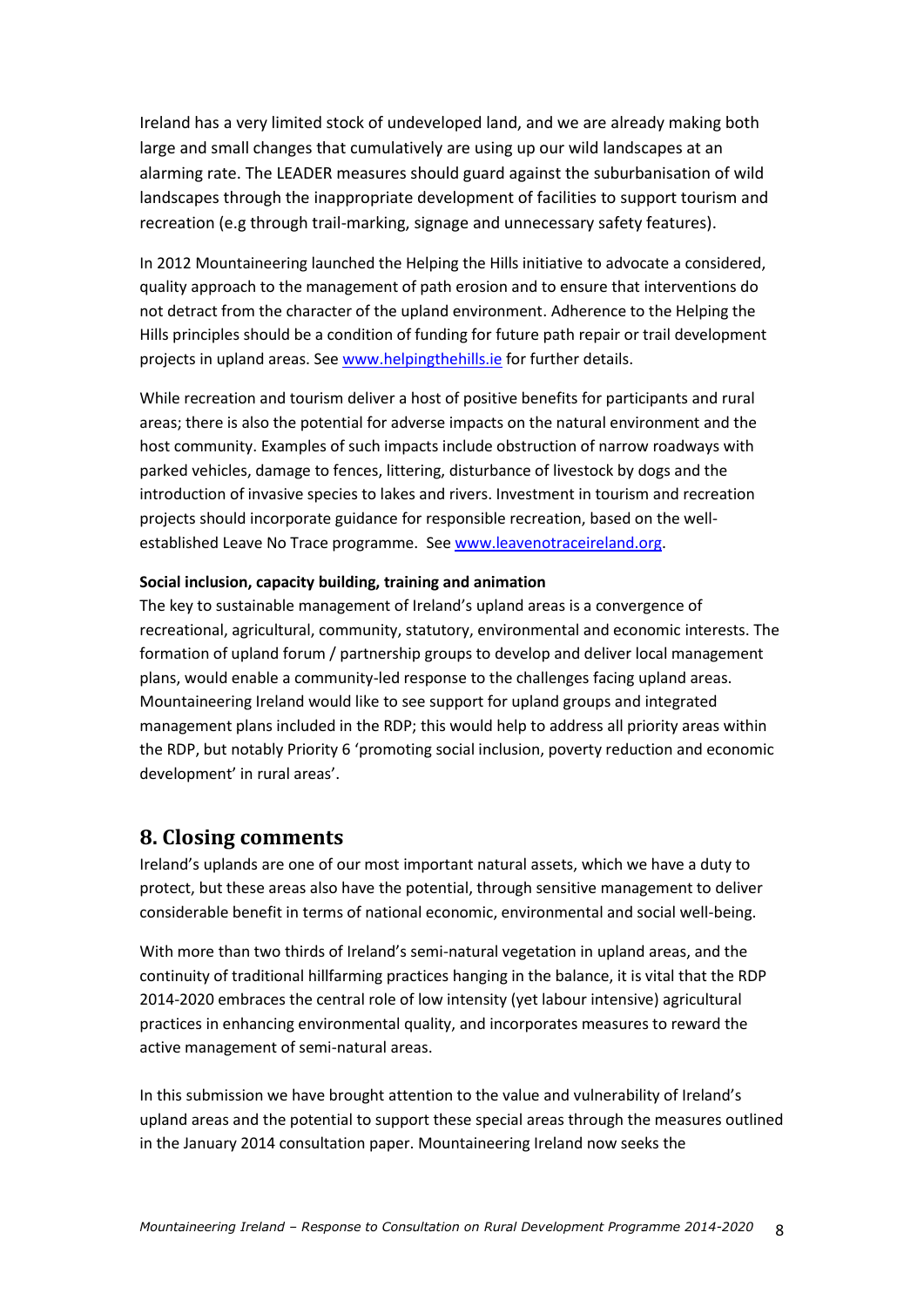Ireland has a very limited stock of undeveloped land, and we are already making both large and small changes that cumulatively are using up our wild landscapes at an alarming rate. The LEADER measures should guard against the suburbanisation of wild landscapes through the inappropriate development of facilities to support tourism and recreation (e.g through trail-marking, signage and unnecessary safety features).

In 2012 Mountaineering launched the Helping the Hills initiative to advocate a considered, quality approach to the management of path erosion and to ensure that interventions do not detract from the character of the upland environment. Adherence to the Helping the Hills principles should be a condition of funding for future path repair or trail development projects in upland areas. Se[e www.helpingthehills.ie](http://www.helpingthehills.ie/) for further details.

While recreation and tourism deliver a host of positive benefits for participants and rural areas; there is also the potential for adverse impacts on the natural environment and the host community. Examples of such impacts include obstruction of narrow roadways with parked vehicles, damage to fences, littering, disturbance of livestock by dogs and the introduction of invasive species to lakes and rivers. Investment in tourism and recreation projects should incorporate guidance for responsible recreation, based on the wellestablished Leave No Trace programme. See [www.leavenotraceireland.org.](http://www.leavenotraceireland.org/)

#### **Social inclusion, capacity building, training and animation**

The key to sustainable management of Ireland's upland areas is a convergence of recreational, agricultural, community, statutory, environmental and economic interests. The formation of upland forum / partnership groups to develop and deliver local management plans, would enable a community-led response to the challenges facing upland areas. Mountaineering Ireland would like to see support for upland groups and integrated management plans included in the RDP; this would help to address all priority areas within the RDP, but notably Priority 6 'promoting social inclusion, poverty reduction and economic development' in rural areas'.

# **8. Closing comments**

Ireland's uplands are one of our most important natural assets, which we have a duty to protect, but these areas also have the potential, through sensitive management to deliver considerable benefit in terms of national economic, environmental and social well-being.

With more than two thirds of Ireland's semi-natural vegetation in upland areas, and the continuity of traditional hillfarming practices hanging in the balance, it is vital that the RDP 2014-2020 embraces the central role of low intensity (yet labour intensive) agricultural practices in enhancing environmental quality, and incorporates measures to reward the active management of semi-natural areas.

In this submission we have brought attention to the value and vulnerability of Ireland's upland areas and the potential to support these special areas through the measures outlined in the January 2014 consultation paper. Mountaineering Ireland now seeks the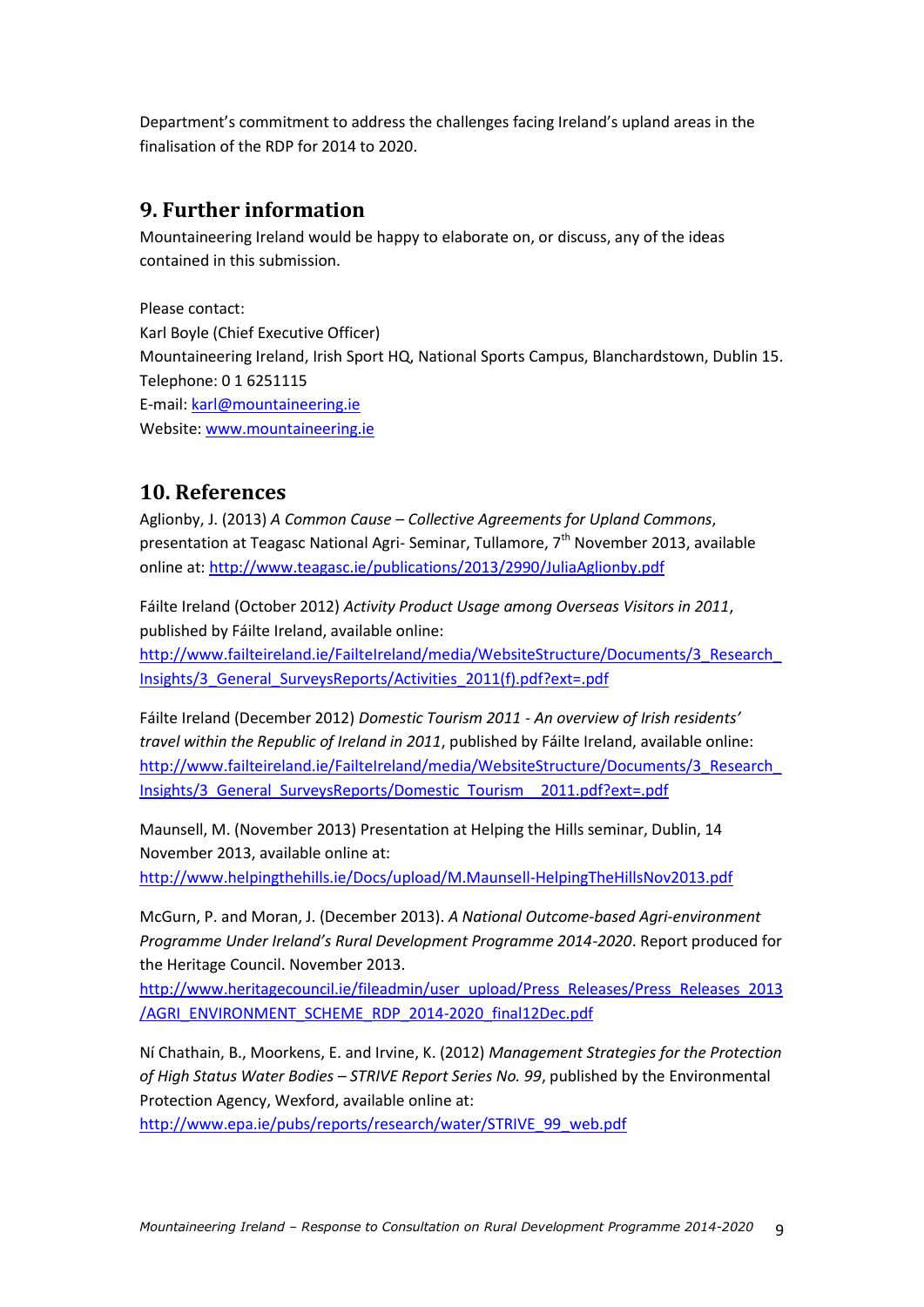Department's commitment to address the challenges facing Ireland's upland areas in the finalisation of the RDP for 2014 to 2020.

## **9. Further information**

Mountaineering Ireland would be happy to elaborate on, or discuss, any of the ideas contained in this submission.

Please contact: Karl Boyle (Chief Executive Officer) Mountaineering Ireland, Irish Sport HQ, National Sports Campus, Blanchardstown, Dublin 15. Telephone: 0 1 6251115 E-mail: [karl@mountaineering.ie](mailto:karl@mountaineering.ie) Website[: www.mountaineering.ie](http://www.mountaineering.ie/)

## **10. References**

Aglionby, J. (2013) *A Common Cause – Collective Agreements for Upland Commons*, presentation at Teagasc National Agri- Seminar, Tullamore, 7<sup>th</sup> November 2013, available online at[: http://www.teagasc.ie/publications/2013/2990/JuliaAglionby.pdf](http://www.teagasc.ie/publications/2013/2990/JuliaAglionby.pdf)

Fáilte Ireland (October 2012) *Activity Product Usage among Overseas Visitors in 2011*, published by Fáilte Ireland, available online:

http://www.failteireland.ie/FailteIreland/media/WebsiteStructure/Documents/3\_Research [Insights/3\\_General\\_SurveysReports/Activities\\_2011\(f\).pdf?ext=.pdf](http://www.failteireland.ie/FailteIreland/media/WebsiteStructure/Documents/3_Research_Insights/3_General_SurveysReports/Activities_2011(f).pdf?ext=.pdf)

Fáilte Ireland (December 2012) *Domestic Tourism 2011 - An overview of Irish residents' travel within the Republic of Ireland in 2011*, published by Fáilte Ireland, available online: [http://www.failteireland.ie/FailteIreland/media/WebsiteStructure/Documents/3\\_Research\\_](http://www.failteireland.ie/FailteIreland/media/WebsiteStructure/Documents/3_Research_Insights/3_General_SurveysReports/Domestic_Tourism__2011.pdf?ext=.pdf) [Insights/3\\_General\\_SurveysReports/Domestic\\_Tourism\\_\\_2011.pdf?ext=.pdf](http://www.failteireland.ie/FailteIreland/media/WebsiteStructure/Documents/3_Research_Insights/3_General_SurveysReports/Domestic_Tourism__2011.pdf?ext=.pdf)

Maunsell, M. (November 2013) Presentation at Helping the Hills seminar, Dublin, 14 November 2013, available online at:

<http://www.helpingthehills.ie/Docs/upload/M.Maunsell-HelpingTheHillsNov2013.pdf>

McGurn, P. and Moran, J. (December 2013). *A National Outcome-based Agri-environment Programme Under Ireland's Rural Development Programme 2014-2020*. Report produced for the Heritage Council. November 2013.

[http://www.heritagecouncil.ie/fileadmin/user\\_upload/Press\\_Releases/Press\\_Releases\\_2013](http://www.heritagecouncil.ie/fileadmin/user_upload/Press_Releases/Press_Releases_2013/AGRI_ENVIRONMENT_SCHEME_RDP_2014-2020_final12Dec.pdf) [/AGRI\\_ENVIRONMENT\\_SCHEME\\_RDP\\_2014-2020\\_final12Dec.pdf](http://www.heritagecouncil.ie/fileadmin/user_upload/Press_Releases/Press_Releases_2013/AGRI_ENVIRONMENT_SCHEME_RDP_2014-2020_final12Dec.pdf)

Ní Chathain, B., Moorkens, E. and Irvine, K. (2012) *Management Strategies for the Protection of High Status Water Bodies – STRIVE Report Series No. 99*, published by the Environmental Protection Agency, Wexford, available online at:

[http://www.epa.ie/pubs/reports/research/water/STRIVE\\_99\\_web.pdf](http://www.epa.ie/pubs/reports/research/water/STRIVE_99_web.pdf)